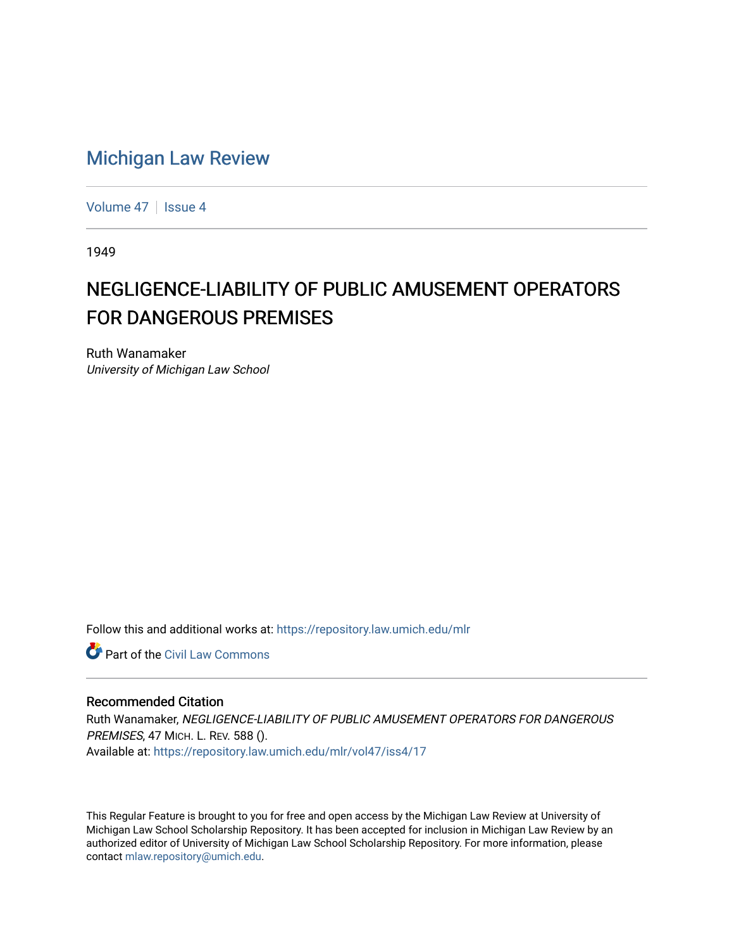## [Michigan Law Review](https://repository.law.umich.edu/mlr)

[Volume 47](https://repository.law.umich.edu/mlr/vol47) | [Issue 4](https://repository.law.umich.edu/mlr/vol47/iss4)

1949

## NEGLIGENCE-LIABILITY OF PUBLIC AMUSEMENT OPERATORS FOR DANGEROUS PREMISES

Ruth Wanamaker University of Michigan Law School

Follow this and additional works at: [https://repository.law.umich.edu/mlr](https://repository.law.umich.edu/mlr?utm_source=repository.law.umich.edu%2Fmlr%2Fvol47%2Fiss4%2F17&utm_medium=PDF&utm_campaign=PDFCoverPages) 

**C** Part of the [Civil Law Commons](http://network.bepress.com/hgg/discipline/835?utm_source=repository.law.umich.edu%2Fmlr%2Fvol47%2Fiss4%2F17&utm_medium=PDF&utm_campaign=PDFCoverPages)

## Recommended Citation

Ruth Wanamaker, NEGLIGENCE-LIABILITY OF PUBLIC AMUSEMENT OPERATORS FOR DANGEROUS PREMISES, 47 MICH. L. REV. 588 (). Available at: [https://repository.law.umich.edu/mlr/vol47/iss4/17](https://repository.law.umich.edu/mlr/vol47/iss4/17?utm_source=repository.law.umich.edu%2Fmlr%2Fvol47%2Fiss4%2F17&utm_medium=PDF&utm_campaign=PDFCoverPages) 

This Regular Feature is brought to you for free and open access by the Michigan Law Review at University of Michigan Law School Scholarship Repository. It has been accepted for inclusion in Michigan Law Review by an authorized editor of University of Michigan Law School Scholarship Repository. For more information, please contact [mlaw.repository@umich.edu](mailto:mlaw.repository@umich.edu).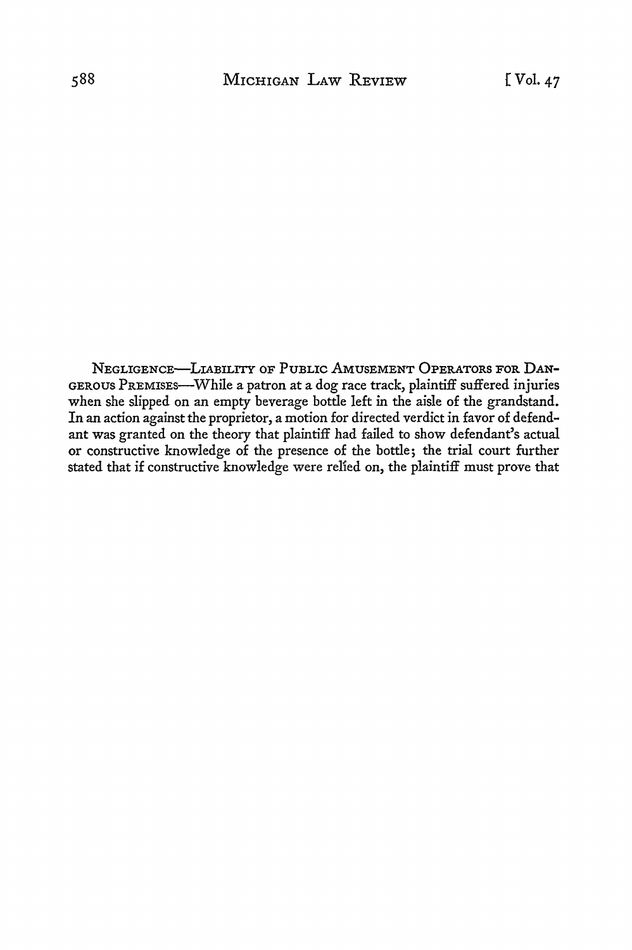NEGLIGENCE-LIABILITY OF PUBLIC AMUSEMENT OPERATORS FOR DAN-GEROUS PREMISES-While a patron at a dog race track, plaintiff suffered injuries when she slipped on an empty beverage bottle left in the aisle of the grandstand. In an action against the proprietor, a motion for directed verdict in favor of defendant was granted on the theory that plaintiff had failed to show defendant's actual or constructive knowledge of the presence of the bottle; the trial court further stated that if constructive knowledge were relied on, the plaintiff must prove that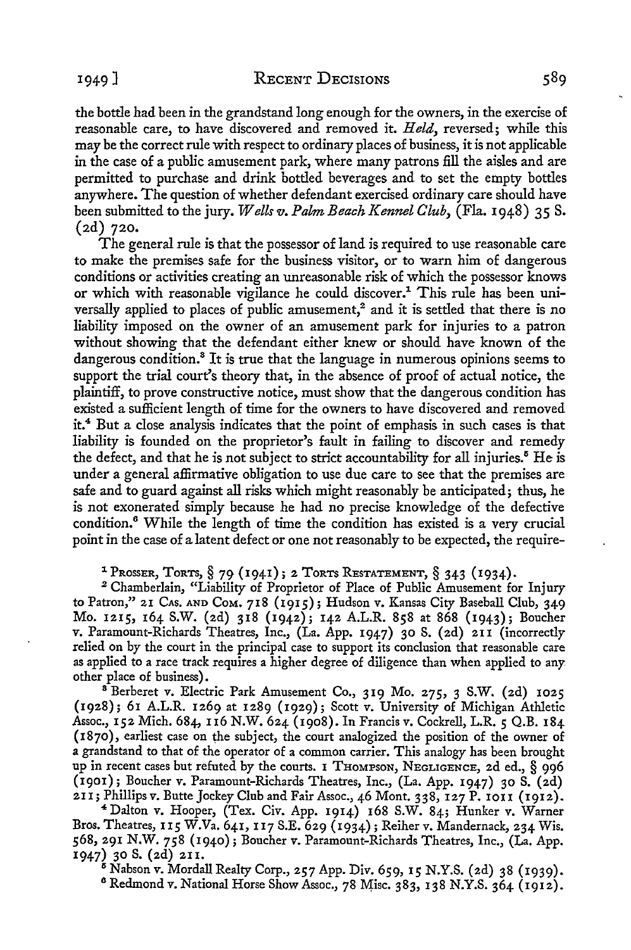the bottle had been in the grandstand long enough for the owners, in the exercise of reasonable care, to have discovered and removed it. *Held,* reversed; while this may be the correct rule with respect to ordinary places of business, it is not applicable in the case of a public amusement park, where many patrons fill the aisles and are permitted to purchase and drink bottled beverages and to set the empty bottles anywhere. The question of whether defendant exercised ordinary care should have been submitted to the jury. *Wells v. Palm Beach Kennel Club*, *(Fla. 1948)* 35 S. (2d) 720.

The general rule is that the possessor of land is required to use reasonable care to make the premises safe for the business visitor, or to warn him of dangerous conditions or activities creating an unreasonable risk of which the possessor knows or which with reasonable vigilance he could discover.<sup>1</sup> This rule has been universally applied to places of public amusement,<sup>2</sup> and it is settled that there is no liability imposed on the owner of an amusement park for injuries to a patron without showing that the defendant either knew or should have known of the dangerous condition.<sup>8</sup> It is true that the language in numerous opinions seems to support the trial court's theory that, in the absence of proof of actual notice, the plaintiff, to prove constructive notice, must show that the dangerous condition has existed a sufficient length of time for the owners to have discovered and removed it.<sup>4</sup>But a close analysis indicates that the point of emphasis in such cases is that liability is founded on the proprietor's fault in failing to discover and remedy the defect, and that he is not subject to strict accountability for all injuries.<sup>5</sup> He is under a general affirmative obligation to use due care to see that the premises are safe and to guard against all risks which might reasonably be anticipated; thus, he is not exonerated simply because he had no precise knowledge of the defective condition. <sup>6</sup>While the length of time the condition has existed is a very crucial point in the case of a latent defect or one not reasonably to be expected, the require-

<sup>1</sup> Prosser, Torts,  $\S$  79 (1941); 2 Torts Restatement,  $\S$  343 (1934).<br><sup>2</sup> Chamberlain, "Liability of Proprietor of Place of Public Amusement for Injury

to Patron," 21 CAs. AND CoM. 718 (1915); Hudson v. Kansas City Baseball Club, 349 Mo. 1215, 164 S.W. (2d) 318 (1942); 142 A.L.R. 858 at 868 (1943); Boucher v. Paramount-Richards Theatres, Inc., (La. App. 1947) 30 S. (2d) 211 (incorrectly relied on by the court in the principal case to support its conclusion that reasonable care as applied to a race track requires a higher degree of diligence than when applied to any other place of business).

<sup>8</sup> Berberet v. Electric Park Amusement Co., 319 Mo. 275, 3 S.W. (2d) 1025 (1928); 61 A.L.R. 1269 at 1289 (1929); Scott v. University of Michigan Athletic Assoc., 152 Mich. 684, II6 N.W. 624 (1908). In Francis v. Cockrell, L.R. *5* Q.B. 184  $(1870)$ , earliest case on the subject, the court analogized the position of the owner of **a** grandstand to that of the operator of a common carrier. This analogy has been brought up in recent cases but refuted by the courts. I THOMPSON, NEGLIGENCE, 2d ed., § 996 (1901); Boucher v. Paramount-Richards Theatres, Inc., (La. App. 1947) 30 S. (2d)

**<sup>21</sup>**I; Phillips v. Butte Jockey Club and Fair Assoc., 46 Mont. 338, 127 P. IOI I (1912). <sup>4</sup>Dalton v. Hooper, (Tex. Civ. App. 1914) 168 S.W. 84; Hunker v. Warner Bros. Theatres, 115 W.Va. 641, 117 S.E. 629 (1934); Reiher v. Mandernack, 234 Wis. 568, 291 N.W. 758 (1940); Boucher v. Paramount-Richards Theatres, Inc., (La. App. 1947) 30 S. (2d) 211.<br><sup>5</sup> Nabson v. Mordall Realty Corp., 257 App. Div. 659, 15 N.Y.S. (2d) 38 (1939).

<sup>6</sup> Redmond v. National Horse Show Assoc., 78 Misc. 383, 138 N.Y.S. 364 (1912).